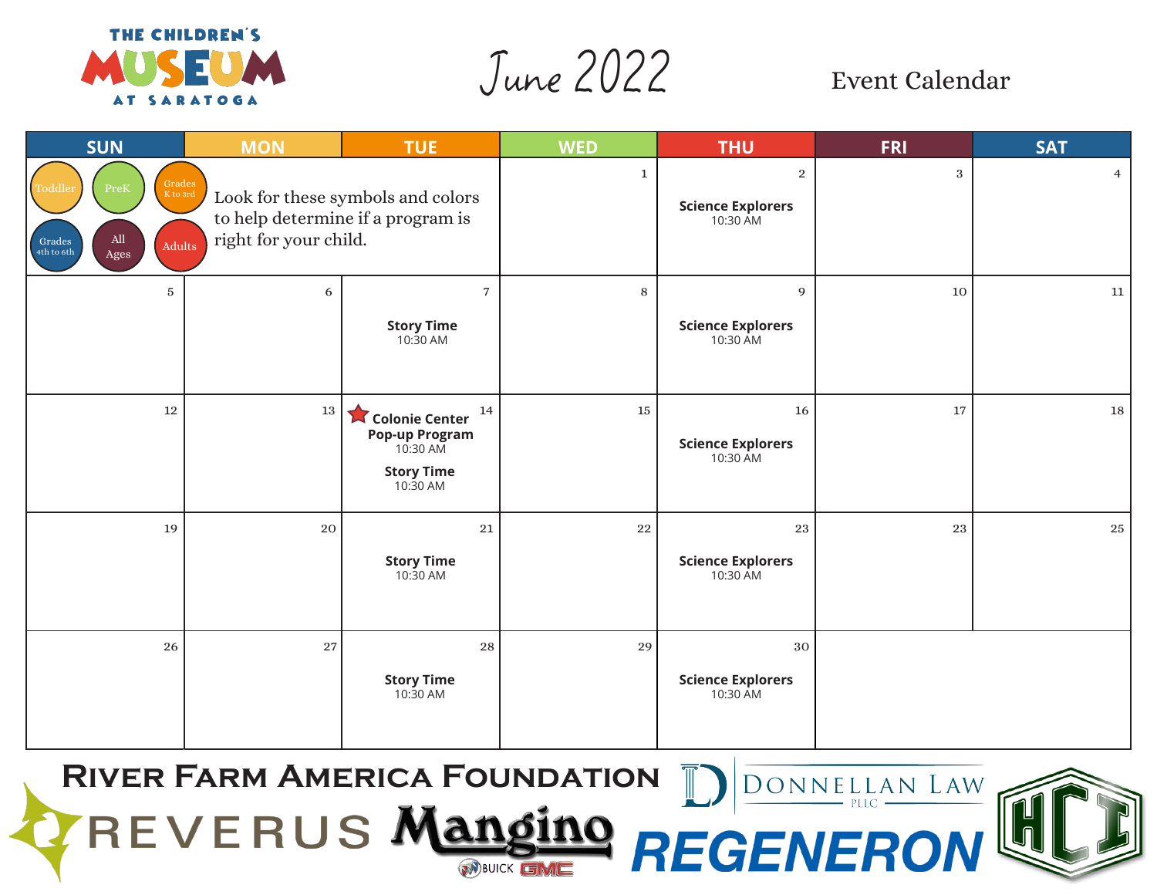

June 2022 Event Calendar

| <b>SUN</b>                                                                                                                 | <b>MON</b>            | <b>TUE</b>                                                                                 | <b>WED</b>   | <b>THU</b>                                             | <b>FRI</b> | <b>SAT</b>     |
|----------------------------------------------------------------------------------------------------------------------------|-----------------------|--------------------------------------------------------------------------------------------|--------------|--------------------------------------------------------|------------|----------------|
| $Grades$<br>PreK<br>Toddler<br>$\mathbf K$ to 3rd<br>$\mathop{\rm All}\nolimits$<br>Grades<br>Adults<br>4th to 6th<br>Ages | right for your child. | Look for these symbols and colors<br>to help determine if a program is                     | $\mathbf{1}$ | $\overline{2}$<br><b>Science Explorers</b><br>10:30 AM | $\,3$      | $\overline{4}$ |
| $\overline{5}$                                                                                                             | 6                     | $\overline{7}$<br><b>Story Time</b><br>10:30 AM                                            | 8            | 9<br><b>Science Explorers</b><br>10:30 AM              | 10         | 11             |
| $12\,$                                                                                                                     | 13                    | 14<br>Colonie Center<br><b>Pop-up Program</b><br>10:30 AM<br><b>Story Time</b><br>10:30 AM | 15           | 16<br><b>Science Explorers</b><br>10:30 AM             | 17         | 18             |
| 19                                                                                                                         | 20                    | ${\bf 21}$<br><b>Story Time</b><br>$10:30$ AM                                              | 22           | 23<br><b>Science Explorers</b><br>10:30 AM             | 23         | 25             |
| 26                                                                                                                         | 27                    | 28<br><b>Story Time</b><br>$10:\bar{3}0$ AM                                                | 29           | $30\,$<br><b>Science Explorers</b><br>10:30 AM         |            |                |

**River Farm America Foundation**REVERUS Mangin